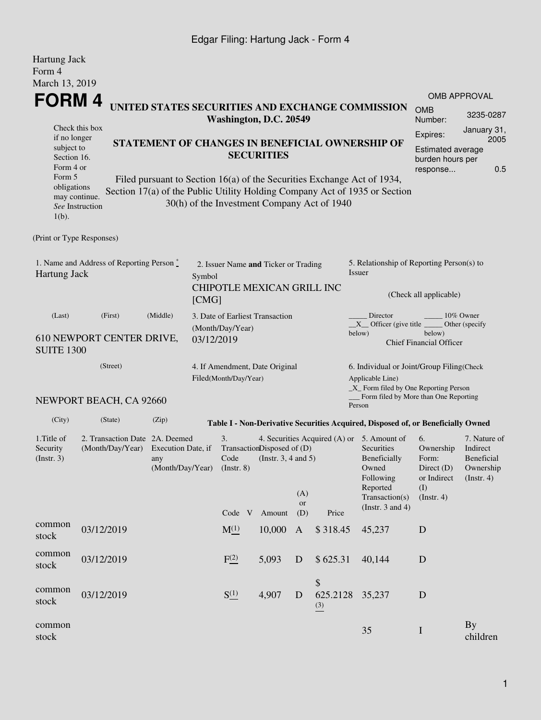## Edgar Filing: Hartung Jack - Form 4

| Hartung Jack<br>Form 4                                                                                                                   |                                     |                                                                                 |  |                                |                                                                    |                     |                                             |                                                                                                                                                                                                                                                              |                                                                                               |                                                                                |  |
|------------------------------------------------------------------------------------------------------------------------------------------|-------------------------------------|---------------------------------------------------------------------------------|--|--------------------------------|--------------------------------------------------------------------|---------------------|---------------------------------------------|--------------------------------------------------------------------------------------------------------------------------------------------------------------------------------------------------------------------------------------------------------------|-----------------------------------------------------------------------------------------------|--------------------------------------------------------------------------------|--|
| March 13, 2019<br>FORM 4<br>if no longer<br>subject to<br>Section 16.<br>Form 4 or<br>Form 5<br>obligations<br>may continue.<br>$1(b)$ . | Check this box<br>See Instruction   |                                                                                 |  |                                | Washington, D.C. 20549<br><b>SECURITIES</b>                        |                     | 30(h) of the Investment Company Act of 1940 | UNITED STATES SECURITIES AND EXCHANGE COMMISSION<br>STATEMENT OF CHANGES IN BENEFICIAL OWNERSHIP OF<br>Filed pursuant to Section 16(a) of the Securities Exchange Act of 1934,<br>Section 17(a) of the Public Utility Holding Company Act of 1935 or Section | <b>OMB</b><br>Number:<br>Expires:<br><b>Estimated average</b><br>burden hours per<br>response | OMB APPROVAL<br>3235-0287<br>January 31,<br>2005<br>0.5                        |  |
| (Print or Type Responses)                                                                                                                |                                     |                                                                                 |  |                                |                                                                    |                     |                                             |                                                                                                                                                                                                                                                              |                                                                                               |                                                                                |  |
| 1. Name and Address of Reporting Person $\stackrel{*}{\mathbb{L}}$<br>Hartung Jack                                                       |                                     |                                                                                 |  | Symbol<br>[CMG]                | 2. Issuer Name and Ticker or Trading<br>CHIPOTLE MEXICAN GRILL INC |                     |                                             | 5. Relationship of Reporting Person(s) to<br>Issuer<br>(Check all applicable)                                                                                                                                                                                |                                                                                               |                                                                                |  |
| (Middle)<br>(Last)<br>(First)<br>610 NEWPORT CENTER DRIVE,<br><b>SUITE 1300</b>                                                          |                                     |                                                                                 |  | (Month/Day/Year)<br>03/12/2019 | 3. Date of Earliest Transaction                                    |                     |                                             | Director<br>10% Owner<br>$X$ Officer (give title $\overline{\phantom{a}}$<br>Other (specify<br>below)<br>below)<br><b>Chief Financial Officer</b>                                                                                                            |                                                                                               |                                                                                |  |
|                                                                                                                                          | (Street)<br>NEWPORT BEACH, CA 92660 |                                                                                 |  | Filed(Month/Day/Year)          | 4. If Amendment, Date Original                                     |                     |                                             | 6. Individual or Joint/Group Filing(Check<br>Applicable Line)<br>$\_X$ Form filed by One Reporting Person<br>Form filed by More than One Reporting<br>Person                                                                                                 |                                                                                               |                                                                                |  |
| (City)                                                                                                                                   | (State)                             | (Zip)                                                                           |  |                                |                                                                    |                     |                                             | Table I - Non-Derivative Securities Acquired, Disposed of, or Beneficially Owned                                                                                                                                                                             |                                                                                               |                                                                                |  |
| 1. Title of<br>Security<br>$($ Instr. 3 $)$                                                                                              | (Month/Day/Year)                    | 2. Transaction Date 2A. Deemed<br>Execution Date, if<br>any<br>(Month/Day/Year) |  |                                | TransactionDisposed of (D)<br>(Instr. $3, 4$ and $5$ )             | (A)<br><b>or</b>    |                                             | 4. Securities Acquired (A) or 5. Amount of<br>Securities<br>Beneficially<br>Owned<br>Following<br>Reported<br>Transaction(s)<br>(Instr. $3$ and $4$ )                                                                                                        | 6.<br>Ownership<br>Form:<br>Direct (D)<br>or Indirect<br>(I)<br>(Insert. 4)                   | 7. Nature of<br>Indirect<br><b>Beneficial</b><br>Ownership<br>$($ Instr. 4 $)$ |  |
| common<br>stock                                                                                                                          | 03/12/2019                          |                                                                                 |  | Code V<br>$M_{-}^{(1)}$        | Amount<br>10,000                                                   | (D)<br>$\mathbf{A}$ | Price<br>\$318.45                           | 45,237                                                                                                                                                                                                                                                       | D                                                                                             |                                                                                |  |
| common<br>stock                                                                                                                          | 03/12/2019                          |                                                                                 |  | F(2)                           | 5,093                                                              | D                   | \$625.31                                    | 40,144                                                                                                                                                                                                                                                       | D                                                                                             |                                                                                |  |
| common<br>stock                                                                                                                          | 03/12/2019                          |                                                                                 |  | $S^{(1)}_{-}$                  | 4,907                                                              | D                   | \$<br>625.2128<br>(3)                       | 35,237                                                                                                                                                                                                                                                       | D                                                                                             |                                                                                |  |
| common<br>stock                                                                                                                          |                                     |                                                                                 |  |                                |                                                                    |                     |                                             | 35                                                                                                                                                                                                                                                           | $\bf I$                                                                                       | <b>By</b><br>children                                                          |  |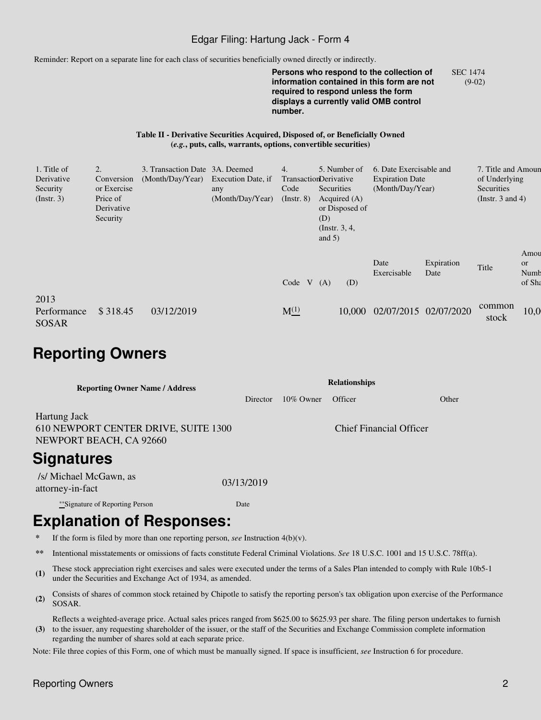#### Edgar Filing: Hartung Jack - Form 4

Reminder: Report on a separate line for each class of securities beneficially owned directly or indirectly.

**Persons who respond to the collection of information contained in this form are not required to respond unless the form displays a currently valid OMB control number.** SEC 1474 (9-02)

#### **Table II - Derivative Securities Acquired, Disposed of, or Beneficially Owned (***e.g.***, puts, calls, warrants, options, convertible securities)**

| 1. Title of<br>Derivative<br>Security<br>$($ Instr. 3 $)$ | Conversion<br>or Exercise<br>Price of<br>Derivative<br>Security | 3. Transaction Date 3A. Deemed<br>(Month/Day/Year) | Execution Date, if<br>any<br>(Month/Day/Year) | 4.<br>TransactionDerivative<br>Code<br>$($ Instr. $8)$ | Securities<br>(D)<br>and $5)$ | 5. Number of<br>Acquired $(A)$<br>or Disposed of<br>(Instr. $3, 4,$ | 6. Date Exercisable and<br><b>Expiration Date</b><br>(Month/Day/Year) |                       | 7. Title and Amoun<br>of Underlying<br>Securities<br>(Instr. $3$ and $4$ ) |                                     |  |
|-----------------------------------------------------------|-----------------------------------------------------------------|----------------------------------------------------|-----------------------------------------------|--------------------------------------------------------|-------------------------------|---------------------------------------------------------------------|-----------------------------------------------------------------------|-----------------------|----------------------------------------------------------------------------|-------------------------------------|--|
|                                                           |                                                                 |                                                    |                                               | Code $V(A)$                                            |                               | (D)                                                                 | Date<br>Exercisable                                                   | Expiration<br>Date    | Title                                                                      | Amou<br><b>or</b><br>Numb<br>of Sha |  |
| 2013<br>Performance<br>SOSAR                              | \$318.45                                                        | 03/12/2019                                         |                                               | $M_{-}^{(1)}$                                          |                               | 10,000                                                              |                                                                       | 02/07/2015 02/07/2020 | common<br>stock                                                            | 10,0                                |  |

# **Reporting Owners**

| <b>Reporting Owner Name / Address</b>                                           |            | <b>Relationships</b> |                                |       |  |  |  |  |  |
|---------------------------------------------------------------------------------|------------|----------------------|--------------------------------|-------|--|--|--|--|--|
|                                                                                 | Director   | $10\%$ Owner         | Officer                        | Other |  |  |  |  |  |
| Hartung Jack<br>610 NEWPORT CENTER DRIVE, SUITE 1300<br>NEWPORT BEACH, CA 92660 |            |                      | <b>Chief Financial Officer</b> |       |  |  |  |  |  |
| <b>Signatures</b>                                                               |            |                      |                                |       |  |  |  |  |  |
| /s/ Michael McGawn, as<br>attorney-in-fact                                      | 03/13/2019 |                      |                                |       |  |  |  |  |  |

\*\*Signature of Reporting Person Date

# **Explanation of Responses:**

- If the form is filed by more than one reporting person, *see* Instruction  $4(b)(v)$ .
- **\*\*** Intentional misstatements or omissions of facts constitute Federal Criminal Violations. *See* 18 U.S.C. 1001 and 15 U.S.C. 78ff(a).
- **(1)** These stock appreciation right exercises and sales were executed under the terms of a Sales Plan intended to comply with Rule 10b5-1 under the Securities and Exchange Act of 1934, as amended.
- **(2)** Consists of shares of common stock retained by Chipotle to satisfy the reporting person's tax obligation upon exercise of the Performance SOSAR.

**(3)** to the issuer, any requesting shareholder of the issuer, or the staff of the Securities and Exchange Commission complete information Reflects a weighted-average price. Actual sales prices ranged from \$625.00 to \$625.93 per share. The filing person undertakes to furnish regarding the number of shares sold at each separate price.

Note: File three copies of this Form, one of which must be manually signed. If space is insufficient, *see* Instruction 6 for procedure.